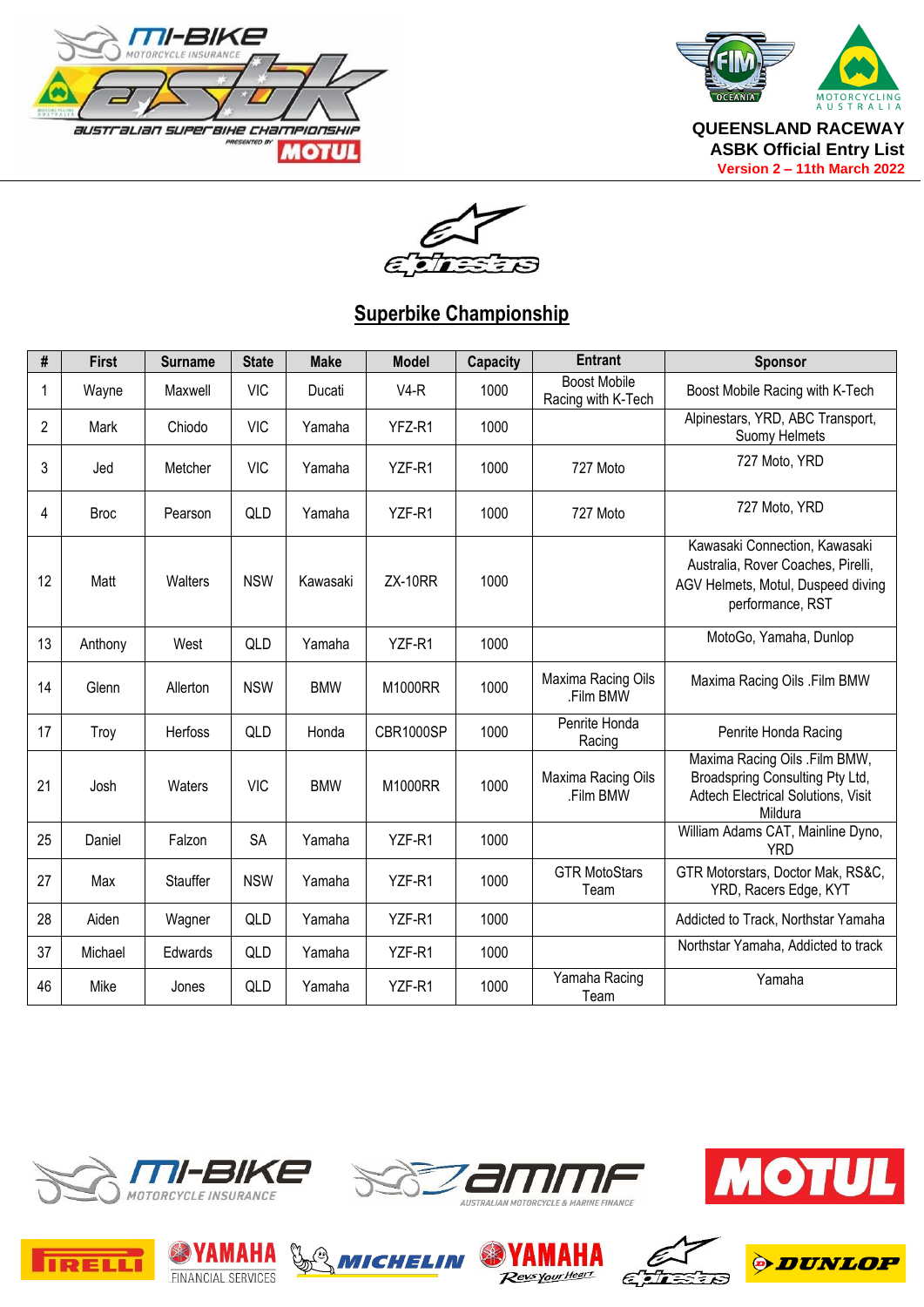



 $\epsilon$ i 73 Ξ

## **Superbike Championship**

| #              | <b>First</b> | <b>Surname</b> | <b>State</b> | <b>Make</b> | <b>Model</b>   | <b>Capacity</b> | <b>Entrant</b>                            | <b>Sponsor</b>                                                                                                                |
|----------------|--------------|----------------|--------------|-------------|----------------|-----------------|-------------------------------------------|-------------------------------------------------------------------------------------------------------------------------------|
| 1              | Wayne        | Maxwell        | <b>VIC</b>   | Ducati      | $V4-R$         | 1000            | <b>Boost Mobile</b><br>Racing with K-Tech | Boost Mobile Racing with K-Tech                                                                                               |
| $\overline{2}$ | Mark         | Chiodo         | <b>VIC</b>   | Yamaha      | YFZ-R1         | 1000            |                                           | Alpinestars, YRD, ABC Transport,<br>Suomy Helmets                                                                             |
| 3              | Jed          | Metcher        | <b>VIC</b>   | Yamaha      | YZF-R1         | 1000            | 727 Moto                                  | 727 Moto, YRD                                                                                                                 |
| 4              | <b>Broc</b>  | Pearson        | QLD          | Yamaha      | YZF-R1         | 1000            | 727 Moto                                  | 727 Moto, YRD                                                                                                                 |
| 12             | Matt         | Walters        | <b>NSW</b>   | Kawasaki    | <b>ZX-10RR</b> | 1000            |                                           | Kawasaki Connection, Kawasaki<br>Australia, Rover Coaches, Pirelli,<br>AGV Helmets, Motul, Duspeed diving<br>performance, RST |
| 13             | Anthony      | West           | QLD          | Yamaha      | YZF-R1         | 1000            |                                           | MotoGo, Yamaha, Dunlop                                                                                                        |
| 14             | Glenn        | Allerton       | <b>NSW</b>   | <b>BMW</b>  | M1000RR        | 1000            | Maxima Racing Oils<br>.Film BMW           | Maxima Racing Oils .Film BMW                                                                                                  |
| 17             | Troy         | Herfoss        | QLD          | Honda       | CBR1000SP      | 1000            | Penrite Honda<br>Racing                   | Penrite Honda Racing                                                                                                          |
| 21             | Josh         | Waters         | <b>VIC</b>   | <b>BMW</b>  | M1000RR        | 1000            | Maxima Racing Oils<br>.Film BMW           | Maxima Racing Oils .Film BMW,<br>Broadspring Consulting Pty Ltd,<br>Adtech Electrical Solutions, Visit<br>Mildura             |
| 25             | Daniel       | Falzon         | <b>SA</b>    | Yamaha      | YZF-R1         | 1000            |                                           | William Adams CAT, Mainline Dyno,<br><b>YRD</b>                                                                               |
| 27             | Max          | Stauffer       | <b>NSW</b>   | Yamaha      | YZF-R1         | 1000            | <b>GTR MotoStars</b><br>Team              | GTR Motorstars, Doctor Mak, RS&C,<br>YRD, Racers Edge, KYT                                                                    |
| 28             | Aiden        | Wagner         | QLD          | Yamaha      | YZF-R1         | 1000            |                                           | Addicted to Track, Northstar Yamaha                                                                                           |
| 37             | Michael      | Edwards        | QLD          | Yamaha      | YZF-R1         | 1000            |                                           | Northstar Yamaha, Addicted to track                                                                                           |
| 46             | Mike         | Jones          | QLD          | Yamaha      | YZF-R1         | 1000            | Yamaha Racing<br>Team                     | Yamaha                                                                                                                        |















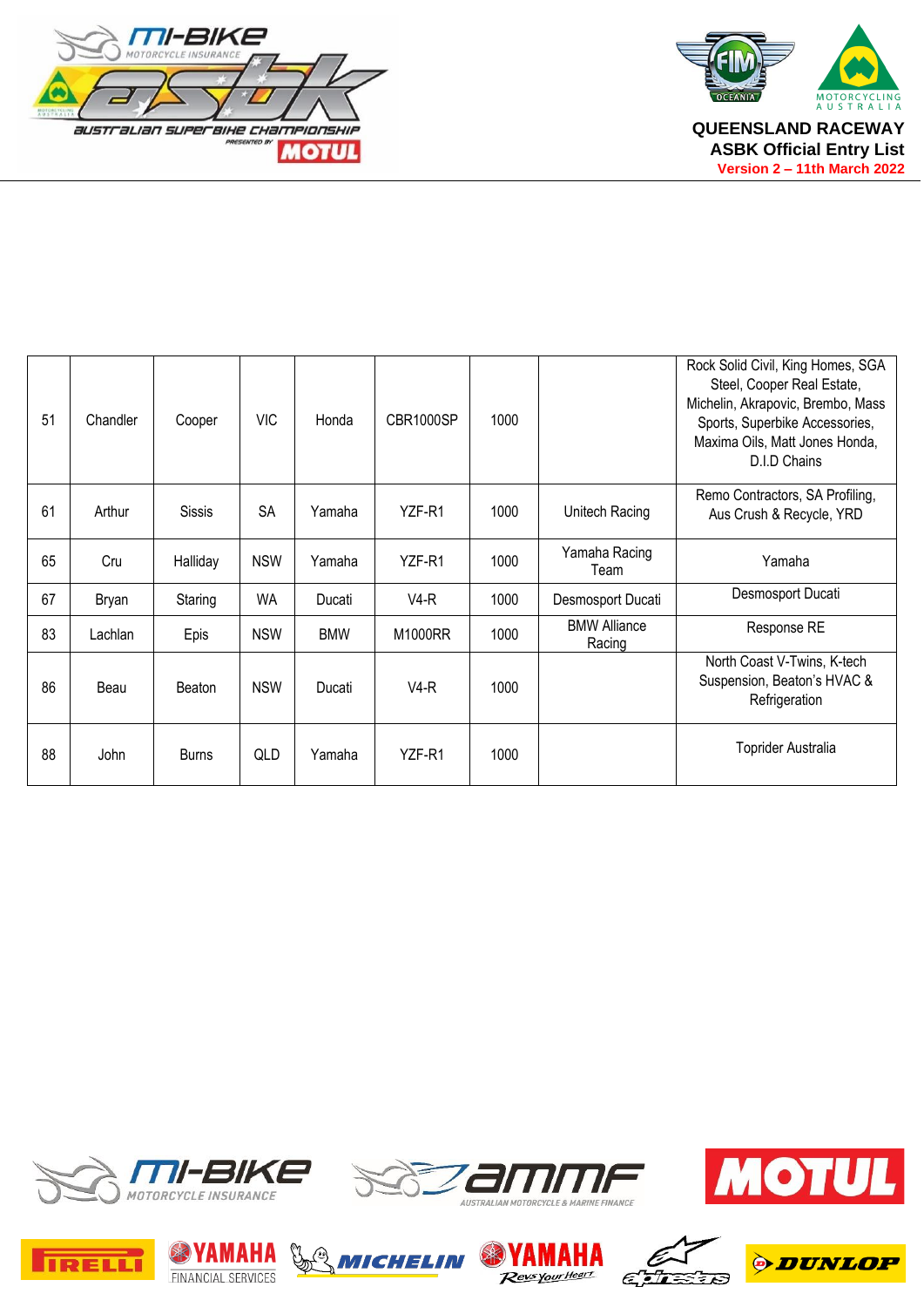



| 51 | Chandler | Cooper        | <b>VIC</b> | Honda      | CBR1000SP | 1000 |                               | Rock Solid Civil, King Homes, SGA<br>Steel, Cooper Real Estate,<br>Michelin, Akrapovic, Brembo, Mass<br>Sports, Superbike Accessories,<br>Maxima Oils, Matt Jones Honda,<br>D.I.D Chains |
|----|----------|---------------|------------|------------|-----------|------|-------------------------------|------------------------------------------------------------------------------------------------------------------------------------------------------------------------------------------|
| 61 | Arthur   | <b>Sissis</b> | <b>SA</b>  | Yamaha     | YZF-R1    | 1000 | Unitech Racing                | Remo Contractors, SA Profiling,<br>Aus Crush & Recycle, YRD                                                                                                                              |
| 65 | Cru      | Halliday      | <b>NSW</b> | Yamaha     | YZF-R1    | 1000 | Yamaha Racing<br>Team         | Yamaha                                                                                                                                                                                   |
| 67 | Bryan    | Staring       | <b>WA</b>  | Ducati     | $V4-R$    | 1000 | Desmosport Ducati             | Desmosport Ducati                                                                                                                                                                        |
| 83 | Lachlan  | Epis          | <b>NSW</b> | <b>BMW</b> | M1000RR   | 1000 | <b>BMW Alliance</b><br>Racing | Response RE                                                                                                                                                                              |
| 86 | Beau     | Beaton        | <b>NSW</b> | Ducati     | $V4-R$    | 1000 |                               | North Coast V-Twins, K-tech<br>Suspension, Beaton's HVAC &<br>Refrigeration                                                                                                              |
| 88 | John     | <b>Burns</b>  | QLD        | Yamaha     | YZF-R1    | 1000 |                               | <b>Toprider Australia</b>                                                                                                                                                                |















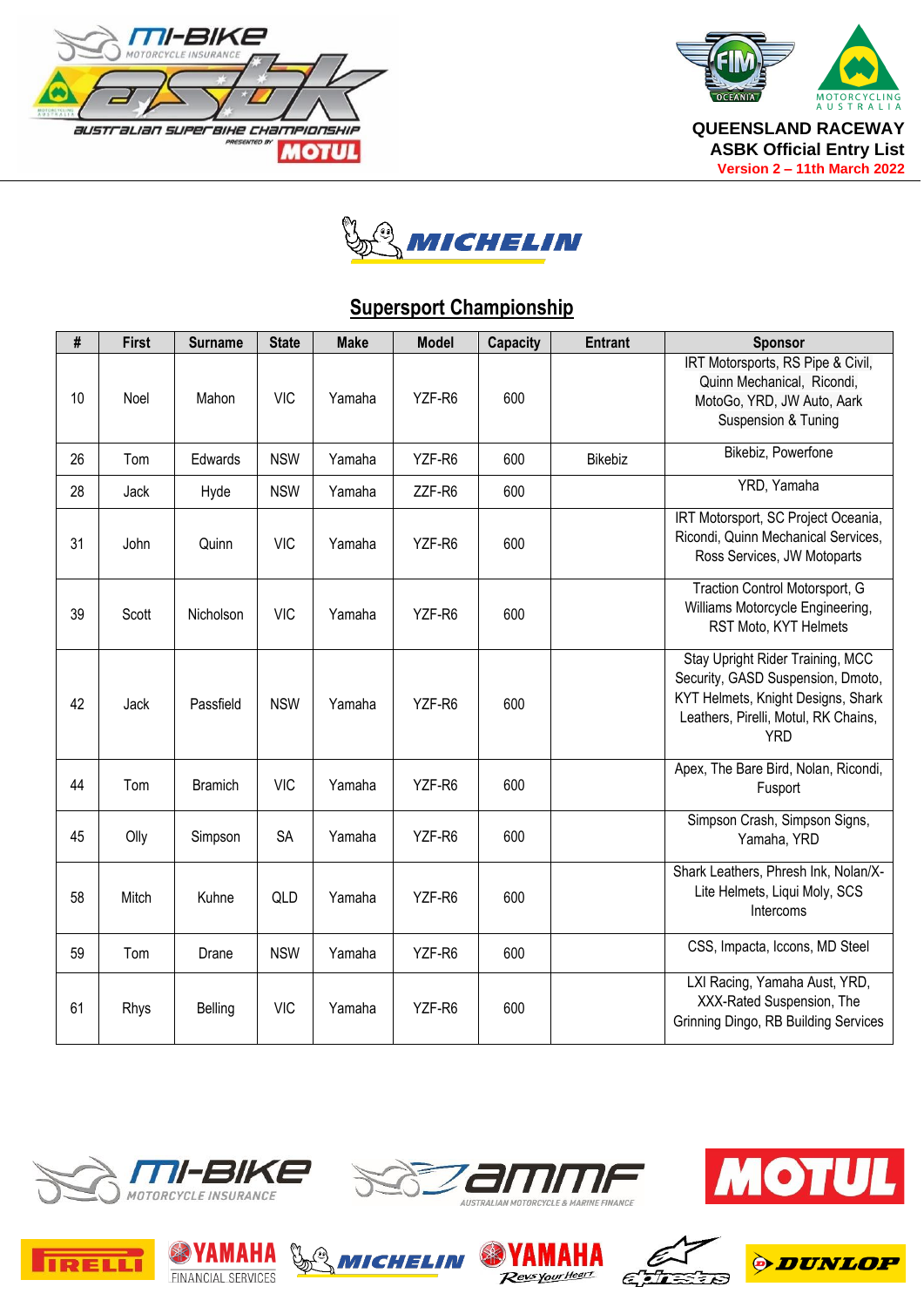





## **Supersport Championship**

| #  | First | <b>Surname</b> | <b>State</b> | <b>Make</b> | <b>Model</b> | Capacity | <b>Entrant</b> | <b>Sponsor</b>                                                                                                                                                    |
|----|-------|----------------|--------------|-------------|--------------|----------|----------------|-------------------------------------------------------------------------------------------------------------------------------------------------------------------|
| 10 | Noel  | Mahon          | <b>VIC</b>   | Yamaha      | YZF-R6       | 600      |                | IRT Motorsports, RS Pipe & Civil,<br>Quinn Mechanical, Ricondi,<br>MotoGo, YRD, JW Auto, Aark<br>Suspension & Tuning                                              |
| 26 | Tom   | Edwards        | <b>NSW</b>   | Yamaha      | YZF-R6       | 600      | Bikebiz        | Bikebiz, Powerfone                                                                                                                                                |
| 28 | Jack  | Hyde           | <b>NSW</b>   | Yamaha      | ZZF-R6       | 600      |                | YRD, Yamaha                                                                                                                                                       |
| 31 | John  | Quinn          | <b>VIC</b>   | Yamaha      | YZF-R6       | 600      |                | IRT Motorsport, SC Project Oceania,<br>Ricondi, Quinn Mechanical Services,<br>Ross Services, JW Motoparts                                                         |
| 39 | Scott | Nicholson      | <b>VIC</b>   | Yamaha      | YZF-R6       | 600      |                | Traction Control Motorsport, G<br>Williams Motorcycle Engineering,<br>RST Moto, KYT Helmets                                                                       |
| 42 | Jack  | Passfield      | <b>NSW</b>   | Yamaha      | YZF-R6       | 600      |                | Stay Upright Rider Training, MCC<br>Security, GASD Suspension, Dmoto,<br>KYT Helmets, Knight Designs, Shark<br>Leathers, Pirelli, Motul, RK Chains,<br><b>YRD</b> |
| 44 | Tom   | <b>Bramich</b> | <b>VIC</b>   | Yamaha      | YZF-R6       | 600      |                | Apex, The Bare Bird, Nolan, Ricondi,<br>Fusport                                                                                                                   |
| 45 | Olly  | Simpson        | <b>SA</b>    | Yamaha      | YZF-R6       | 600      |                | Simpson Crash, Simpson Signs,<br>Yamaha, YRD                                                                                                                      |
| 58 | Mitch | Kuhne          | QLD          | Yamaha      | YZF-R6       | 600      |                | Shark Leathers, Phresh Ink, Nolan/X-<br>Lite Helmets, Liqui Moly, SCS<br>Intercoms                                                                                |
| 59 | Tom   | Drane          | <b>NSW</b>   | Yamaha      | YZF-R6       | 600      |                | CSS, Impacta, Iccons, MD Steel                                                                                                                                    |
| 61 | Rhys  | Belling        | <b>VIC</b>   | Yamaha      | YZF-R6       | 600      |                | LXI Racing, Yamaha Aust, YRD,<br>XXX-Rated Suspension, The<br>Grinning Dingo, RB Building Services                                                                |















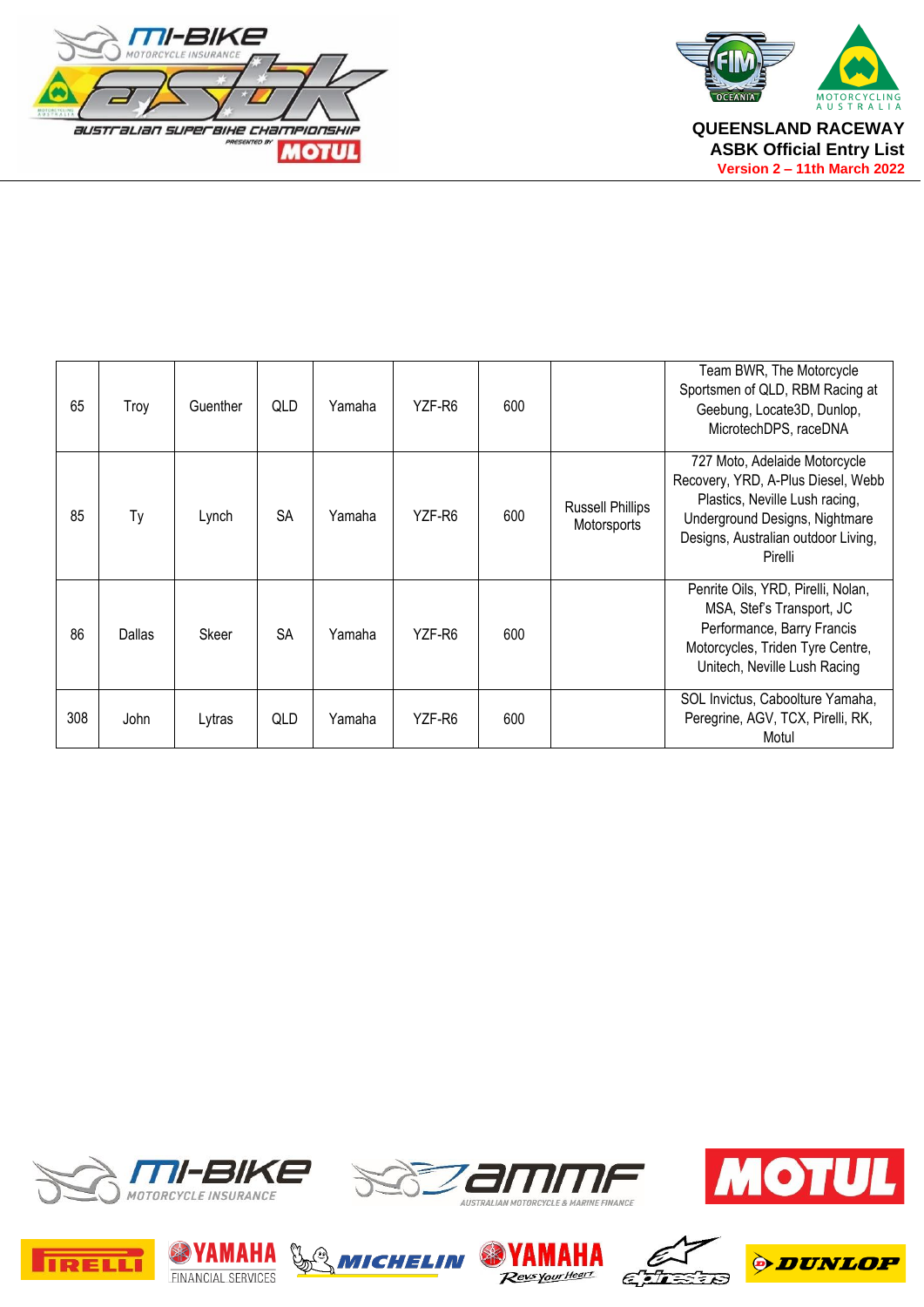



| 65  | Troy   | Guenther | QLD       | Yamaha | YZF-R6 | 600 |                                        | Team BWR, The Motorcycle<br>Sportsmen of QLD, RBM Racing at<br>Geebung, Locate3D, Dunlop,<br>MicrotechDPS, raceDNA                                                                        |
|-----|--------|----------|-----------|--------|--------|-----|----------------------------------------|-------------------------------------------------------------------------------------------------------------------------------------------------------------------------------------------|
| 85  | Ty     | Lynch    | <b>SA</b> | Yamaha | YZF-R6 | 600 | <b>Russell Phillips</b><br>Motorsports | 727 Moto, Adelaide Motorcycle<br>Recovery, YRD, A-Plus Diesel, Webb<br>Plastics, Neville Lush racing,<br>Underground Designs, Nightmare<br>Designs, Australian outdoor Living,<br>Pirelli |
| 86  | Dallas | Skeer    | <b>SA</b> | Yamaha | YZF-R6 | 600 |                                        | Penrite Oils, YRD, Pirelli, Nolan,<br>MSA, Stef's Transport, JC<br>Performance, Barry Francis<br>Motorcycles, Triden Tyre Centre,<br>Unitech, Neville Lush Racing                         |
| 308 | John   | Lytras   | QLD       | Yamaha | YZF-R6 | 600 |                                        | SOL Invictus, Caboolture Yamaha,<br>Peregrine, AGV, TCX, Pirelli, RK,<br>Motul                                                                                                            |















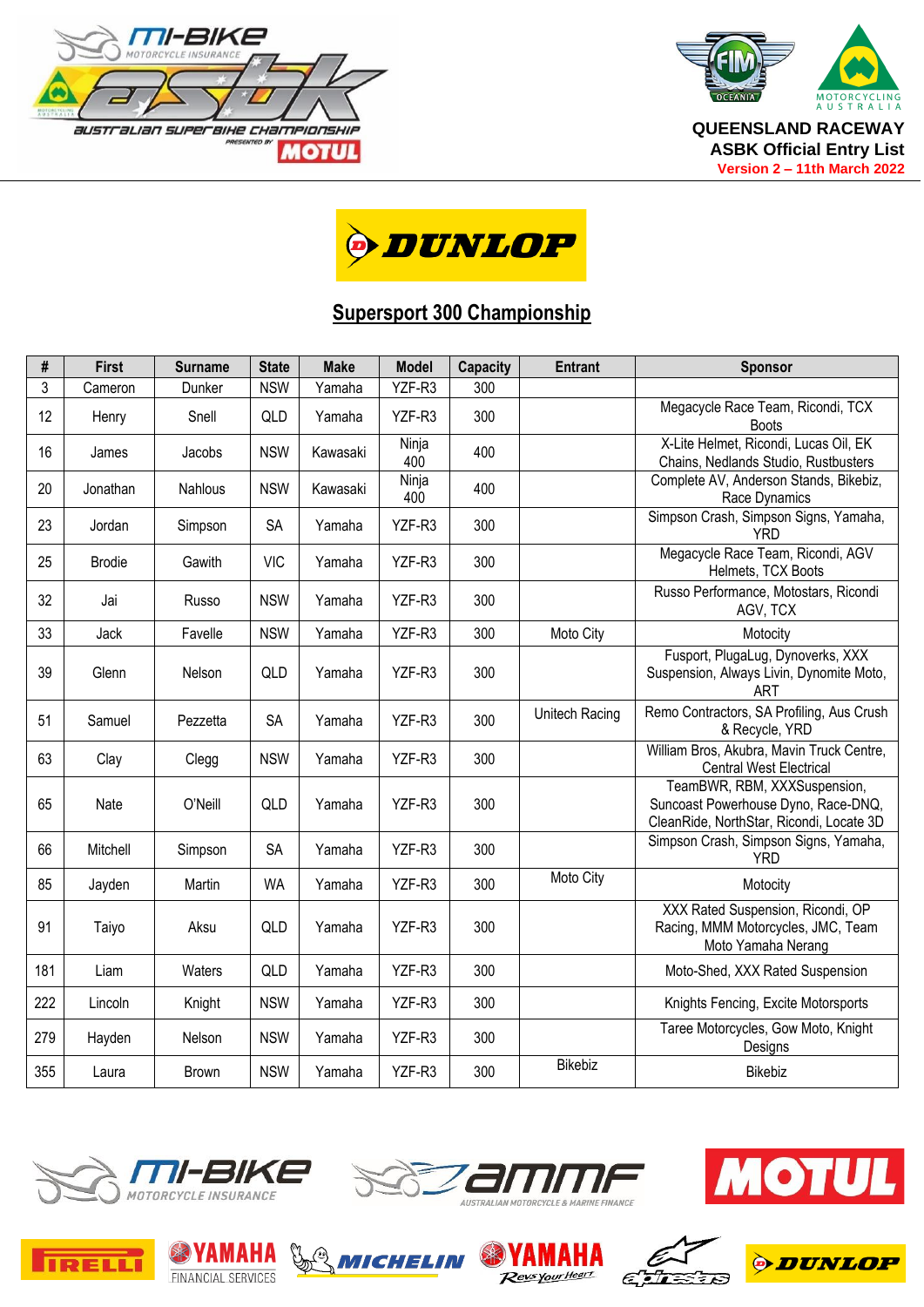





#### **Supersport 300 Championship**

| #   | <b>First</b>  | <b>Surname</b> | <b>State</b> | <b>Make</b> | <b>Model</b> | <b>Capacity</b> | <b>Entrant</b> | <b>Sponsor</b>                                                                                                  |
|-----|---------------|----------------|--------------|-------------|--------------|-----------------|----------------|-----------------------------------------------------------------------------------------------------------------|
| 3   | Cameron       | Dunker         | <b>NSW</b>   | Yamaha      | YZF-R3       | 300             |                |                                                                                                                 |
| 12  | Henry         | Snell          | QLD          | Yamaha      | YZF-R3       | 300             |                | Megacycle Race Team, Ricondi, TCX<br><b>Boots</b>                                                               |
| 16  | James         | Jacobs         | <b>NSW</b>   | Kawasaki    | Ninja<br>400 | 400             |                | X-Lite Helmet, Ricondi, Lucas Oil, EK<br>Chains, Nedlands Studio, Rustbusters                                   |
| 20  | Jonathan      | <b>Nahlous</b> | <b>NSW</b>   | Kawasaki    | Ninja<br>400 | 400             |                | Complete AV, Anderson Stands, Bikebiz,<br>Race Dynamics                                                         |
| 23  | Jordan        | Simpson        | <b>SA</b>    | Yamaha      | YZF-R3       | 300             |                | Simpson Crash, Simpson Signs, Yamaha,<br><b>YRD</b>                                                             |
| 25  | <b>Brodie</b> | Gawith         | <b>VIC</b>   | Yamaha      | YZF-R3       | 300             |                | Megacycle Race Team, Ricondi, AGV<br>Helmets, TCX Boots                                                         |
| 32  | Jai           | Russo          | <b>NSW</b>   | Yamaha      | YZF-R3       | 300             |                | Russo Performance, Motostars, Ricondi<br>AGV, TCX                                                               |
| 33  | Jack          | Favelle        | <b>NSW</b>   | Yamaha      | YZF-R3       | 300             | Moto City      | Motocity                                                                                                        |
| 39  | Glenn         | Nelson         | QLD          | Yamaha      | YZF-R3       | 300             |                | Fusport, PlugaLug, Dynoverks, XXX<br>Suspension, Always Livin, Dynomite Moto,<br>ART                            |
| 51  | Samuel        | Pezzetta       | SA           | Yamaha      | YZF-R3       | 300             | Unitech Racing | Remo Contractors, SA Profiling, Aus Crush<br>& Recycle, YRD                                                     |
| 63  | Clay          | Clegg          | <b>NSW</b>   | Yamaha      | YZF-R3       | 300             |                | William Bros, Akubra, Mavin Truck Centre,<br><b>Central West Electrical</b>                                     |
| 65  | Nate          | O'Neill        | QLD          | Yamaha      | YZF-R3       | 300             |                | TeamBWR, RBM, XXXSuspension,<br>Suncoast Powerhouse Dyno, Race-DNQ,<br>CleanRide, NorthStar, Ricondi, Locate 3D |
| 66  | Mitchell      | Simpson        | <b>SA</b>    | Yamaha      | YZF-R3       | 300             |                | Simpson Crash, Simpson Signs, Yamaha,<br><b>YRD</b>                                                             |
| 85  | Jayden        | Martin         | <b>WA</b>    | Yamaha      | YZF-R3       | 300             | Moto City      | Motocity                                                                                                        |
| 91  | Taiyo         | Aksu           | QLD          | Yamaha      | YZF-R3       | 300             |                | XXX Rated Suspension, Ricondi, OP<br>Racing, MMM Motorcycles, JMC, Team<br>Moto Yamaha Nerang                   |
| 181 | Liam          | Waters         | QLD          | Yamaha      | YZF-R3       | 300             |                | Moto-Shed, XXX Rated Suspension                                                                                 |
| 222 | Lincoln       | Knight         | <b>NSW</b>   | Yamaha      | YZF-R3       | 300             |                | Knights Fencing, Excite Motorsports                                                                             |
| 279 | Hayden        | Nelson         | <b>NSW</b>   | Yamaha      | YZF-R3       | 300             |                | Taree Motorcycles, Gow Moto, Knight<br>Designs                                                                  |
| 355 | Laura         | <b>Brown</b>   | <b>NSW</b>   | Yamaha      | YZF-R3       | 300             | Bikebiz        | Bikebiz                                                                                                         |















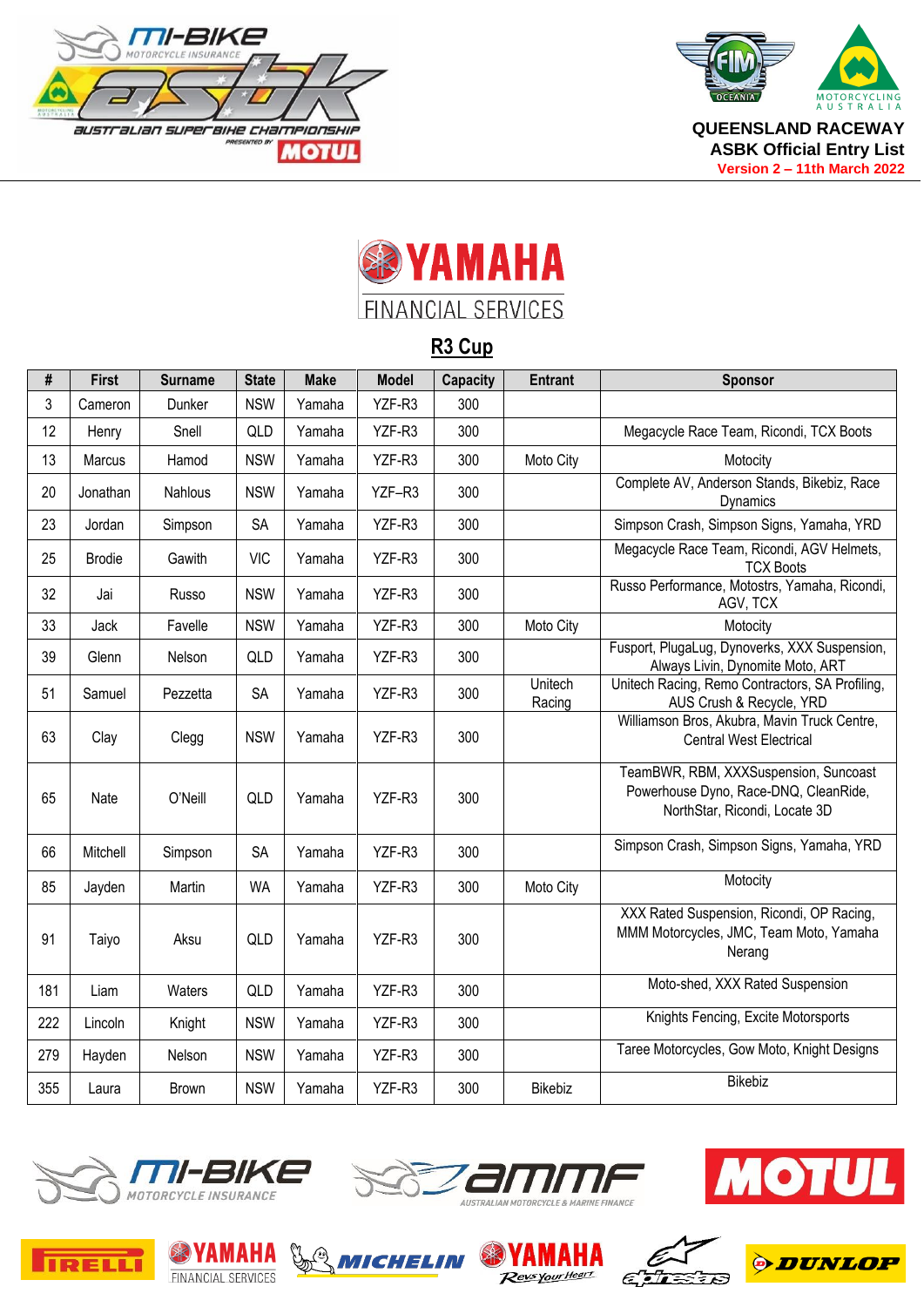





### **R3 Cup**

| #   | <b>First</b>  | <b>Surname</b> | <b>State</b> | <b>Make</b> | <b>Model</b> | <b>Capacity</b> | <b>Entrant</b>    | <b>Sponsor</b>                                                                                                  |
|-----|---------------|----------------|--------------|-------------|--------------|-----------------|-------------------|-----------------------------------------------------------------------------------------------------------------|
| 3   | Cameron       | Dunker         | <b>NSW</b>   | Yamaha      | YZF-R3       | 300             |                   |                                                                                                                 |
| 12  | Henry         | Snell          | QLD          | Yamaha      | YZF-R3       | 300             |                   | Megacycle Race Team, Ricondi, TCX Boots                                                                         |
| 13  | Marcus        | Hamod          | <b>NSW</b>   | Yamaha      | YZF-R3       | 300             | Moto City         | Motocity                                                                                                        |
| 20  | Jonathan      | Nahlous        | <b>NSW</b>   | Yamaha      | YZF-R3       | 300             |                   | Complete AV, Anderson Stands, Bikebiz, Race<br>Dynamics                                                         |
| 23  | Jordan        | Simpson        | <b>SA</b>    | Yamaha      | YZF-R3       | 300             |                   | Simpson Crash, Simpson Signs, Yamaha, YRD                                                                       |
| 25  | <b>Brodie</b> | Gawith         | <b>VIC</b>   | Yamaha      | YZF-R3       | 300             |                   | Megacycle Race Team, Ricondi, AGV Helmets,<br><b>TCX Boots</b>                                                  |
| 32  | Jai           | Russo          | <b>NSW</b>   | Yamaha      | YZF-R3       | 300             |                   | Russo Performance, Motostrs, Yamaha, Ricondi,<br>AGV, TCX                                                       |
| 33  | Jack          | Favelle        | <b>NSW</b>   | Yamaha      | YZF-R3       | 300             | Moto City         | Motocity                                                                                                        |
| 39  | Glenn         | Nelson         | QLD          | Yamaha      | YZF-R3       | 300             |                   | Fusport, PlugaLug, Dynoverks, XXX Suspension,<br>Always Livin, Dynomite Moto, ART                               |
| 51  | Samuel        | Pezzetta       | <b>SA</b>    | Yamaha      | YZF-R3       | 300             | Unitech<br>Racing | Unitech Racing, Remo Contractors, SA Profiling,<br>AUS Crush & Recycle, YRD                                     |
| 63  | Clay          | Clegg          | <b>NSW</b>   | Yamaha      | YZF-R3       | 300             |                   | Williamson Bros, Akubra, Mavin Truck Centre,<br><b>Central West Electrical</b>                                  |
| 65  | Nate          | O'Neill        | QLD          | Yamaha      | YZF-R3       | 300             |                   | TeamBWR, RBM, XXXSuspension, Suncoast<br>Powerhouse Dyno, Race-DNQ, CleanRide,<br>NorthStar, Ricondi, Locate 3D |
| 66  | Mitchell      | Simpson        | <b>SA</b>    | Yamaha      | YZF-R3       | 300             |                   | Simpson Crash, Simpson Signs, Yamaha, YRD                                                                       |
| 85  | Jayden        | Martin         | <b>WA</b>    | Yamaha      | YZF-R3       | 300             | Moto City         | Motocity                                                                                                        |
| 91  | Taiyo         | Aksu           | QLD          | Yamaha      | YZF-R3       | 300             |                   | XXX Rated Suspension, Ricondi, OP Racing,<br>MMM Motorcycles, JMC, Team Moto, Yamaha<br>Nerang                  |
| 181 | Liam          | Waters         | QLD          | Yamaha      | YZF-R3       | 300             |                   | Moto-shed, XXX Rated Suspension                                                                                 |
| 222 | Lincoln       | Knight         | <b>NSW</b>   | Yamaha      | YZF-R3       | 300             |                   | Knights Fencing, Excite Motorsports                                                                             |
| 279 | Hayden        | Nelson         | <b>NSW</b>   | Yamaha      | YZF-R3       | 300             |                   | Taree Motorcycles, Gow Moto, Knight Designs                                                                     |
| 355 | Laura         | Brown          | <b>NSW</b>   | Yamaha      | YZF-R3       | 300             | Bikebiz           | Bikebiz                                                                                                         |















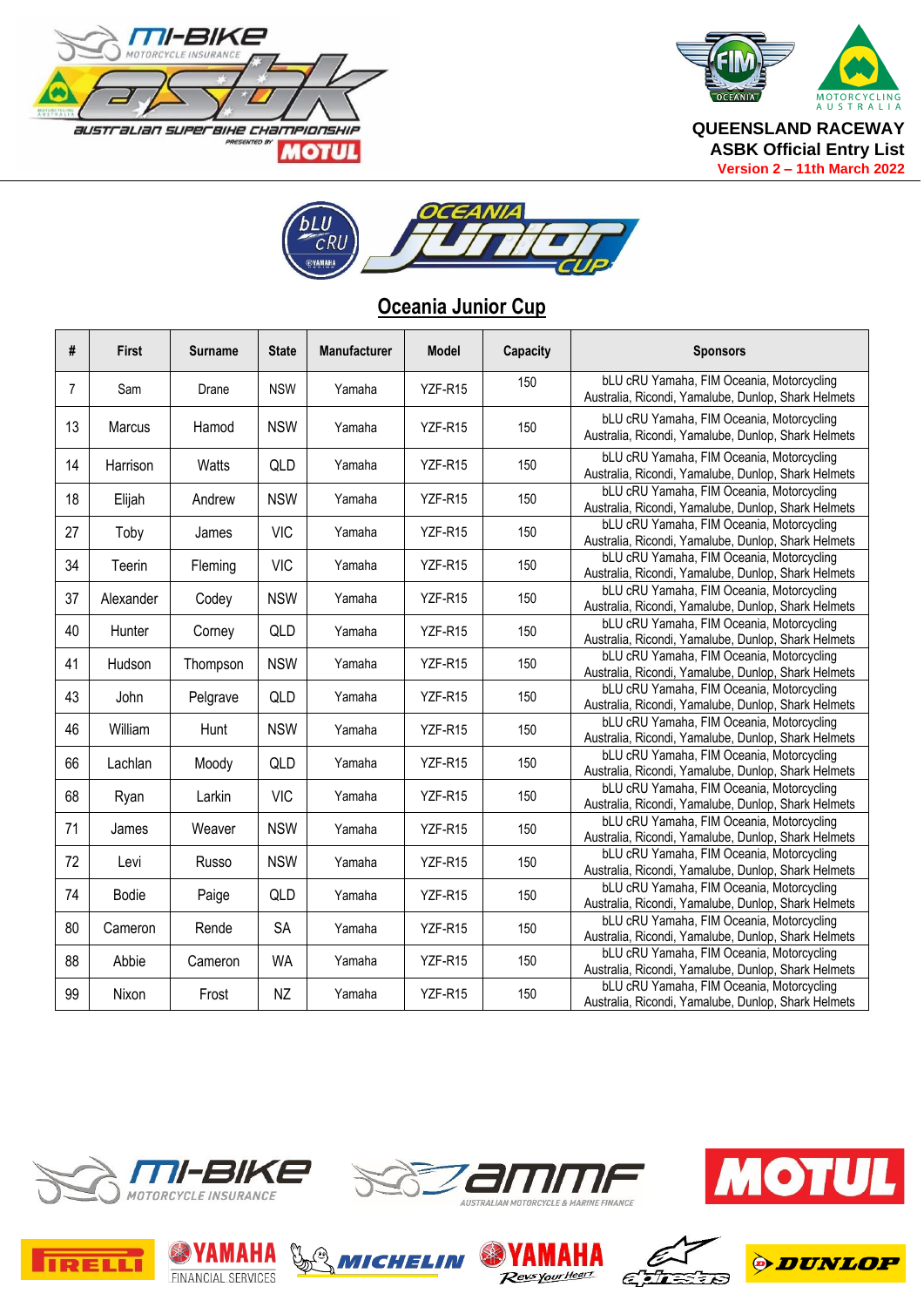



**Version 2 – 11th March 2022**



#### **Oceania Junior Cup**

| #  | <b>First</b>  | <b>Surname</b> | <b>State</b> | <b>Manufacturer</b> | Model   | Capacity | <b>Sponsors</b>                                                                                         |
|----|---------------|----------------|--------------|---------------------|---------|----------|---------------------------------------------------------------------------------------------------------|
| 7  | Sam           | Drane          | <b>NSW</b>   | Yamaha              | YZF-R15 | 150      | bLU cRU Yamaha, FIM Oceania, Motorcycling<br>Australia, Ricondi, Yamalube, Dunlop, Shark Helmets        |
| 13 | <b>Marcus</b> | Hamod          | <b>NSW</b>   | Yamaha              | YZF-R15 | 150      | bLU cRU Yamaha, FIM Oceania, Motorcycling<br>Australia, Ricondi, Yamalube, Dunlop, Shark Helmets        |
| 14 | Harrison      | Watts          | QLD          | Yamaha              | YZF-R15 | 150      | bLU cRU Yamaha, FIM Oceania, Motorcycling<br>Australia, Ricondi, Yamalube, Dunlop, Shark Helmets        |
| 18 | Elijah        | Andrew         | <b>NSW</b>   | Yamaha              | YZF-R15 | 150      | bLU cRU Yamaha, FIM Oceania, Motorcycling<br>Australia, Ricondi, Yamalube, Dunlop, Shark Helmets        |
| 27 | Toby          | James          | <b>VIC</b>   | Yamaha              | YZF-R15 | 150      | bLU cRU Yamaha, FIM Oceania, Motorcycling<br>Australia, Ricondi, Yamalube, Dunlop, Shark Helmets        |
| 34 | Teerin        | Fleming        | <b>VIC</b>   | Yamaha              | YZF-R15 | 150      | bLU cRU Yamaha, FIM Oceania, Motorcycling<br>Australia, Ricondi, Yamalube, Dunlop, Shark Helmets        |
| 37 | Alexander     | Codey          | <b>NSW</b>   | Yamaha              | YZF-R15 | 150      | bLU cRU Yamaha, FIM Oceania, Motorcycling<br>Australia, Ricondi, Yamalube, Dunlop, Shark Helmets        |
| 40 | Hunter        | Corney         | QLD          | Yamaha              | YZF-R15 | 150      | bLU cRU Yamaha, FIM Oceania, Motorcycling<br>Australia, Ricondi, Yamalube, Dunlop, Shark Helmets        |
| 41 | Hudson        | Thompson       | <b>NSW</b>   | Yamaha              | YZF-R15 | 150      | bLU cRU Yamaha, FIM Oceania, Motorcycling<br>Australia, Ricondi, Yamalube, Dunlop, Shark Helmets        |
| 43 | John          | Pelgrave       | QLD          | Yamaha              | YZF-R15 | 150      | bLU cRU Yamaha, FIM Oceania, Motorcycling<br>Australia, Ricondi, Yamalube, Dunlop, Shark Helmets        |
| 46 | William       | Hunt           | <b>NSW</b>   | Yamaha              | YZF-R15 | 150      | bLU cRU Yamaha, FIM Oceania, Motorcycling<br>Australia, Ricondi, Yamalube, Dunlop, Shark Helmets        |
| 66 | Lachlan       | Moody          | QLD          | Yamaha              | YZF-R15 | 150      | bLU cRU Yamaha, FIM Oceania, Motorcycling<br>Australia, Ricondi, Yamalube, Dunlop, Shark Helmets        |
| 68 | Ryan          | Larkin         | <b>VIC</b>   | Yamaha              | YZF-R15 | 150      | bLU cRU Yamaha, FIM Oceania, Motorcycling<br>Australia, Ricondi, Yamalube, Dunlop, Shark Helmets        |
| 71 | James         | Weaver         | <b>NSW</b>   | Yamaha              | YZF-R15 | 150      | <b>bLU cRU Yamaha, FIM Oceania, Motorcycling</b><br>Australia, Ricondi, Yamalube, Dunlop, Shark Helmets |
| 72 | Levi          | Russo          | <b>NSW</b>   | Yamaha              | YZF-R15 | 150      | bLU cRU Yamaha, FIM Oceania, Motorcycling<br>Australia, Ricondi, Yamalube, Dunlop, Shark Helmets        |
| 74 | <b>Bodie</b>  | Paige          | QLD          | Yamaha              | YZF-R15 | 150      | bLU cRU Yamaha, FIM Oceania, Motorcycling<br>Australia, Ricondi, Yamalube, Dunlop, Shark Helmets        |
| 80 | Cameron       | Rende          | <b>SA</b>    | Yamaha              | YZF-R15 | 150      | bLU cRU Yamaha, FIM Oceania, Motorcycling<br>Australia, Ricondi, Yamalube, Dunlop, Shark Helmets        |
| 88 | Abbie         | Cameron        | <b>WA</b>    | Yamaha              | YZF-R15 | 150      | bLU cRU Yamaha, FIM Oceania, Motorcycling<br>Australia, Ricondi, Yamalube, Dunlop, Shark Helmets        |
| 99 | Nixon         | Frost          | NZ           | Yamaha              | YZF-R15 | 150      | bLU cRU Yamaha, FIM Oceania, Motorcycling<br>Australia, Ricondi, Yamalube, Dunlop, Shark Helmets        |